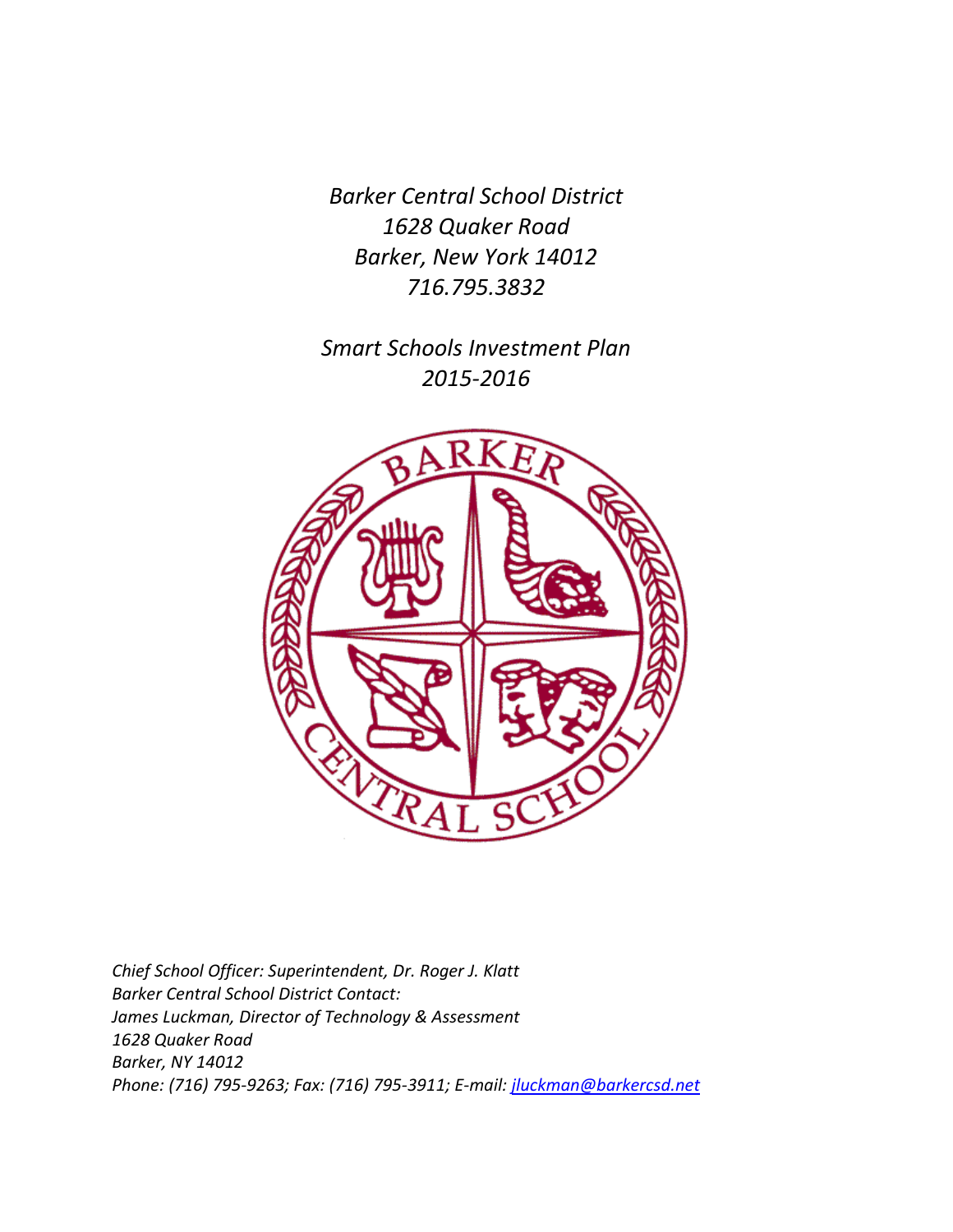*Barker Central School District 1628 Quaker Road Barker, New York 14012 716.795.3832*

*Smart Schools Investment Plan 2015-2016*



*Chief School Officer: Superintendent, Dr. Roger J. Klatt Barker Central School District Contact: James Luckman, Director of Technology & Assessment 1628 Quaker Road Barker, NY 14012 Phone: (716) 795-9263; Fax: (716) 795-3911; E-mail: [jluckman@barkercsd.net](mailto:jluckman@barkercsd.net)*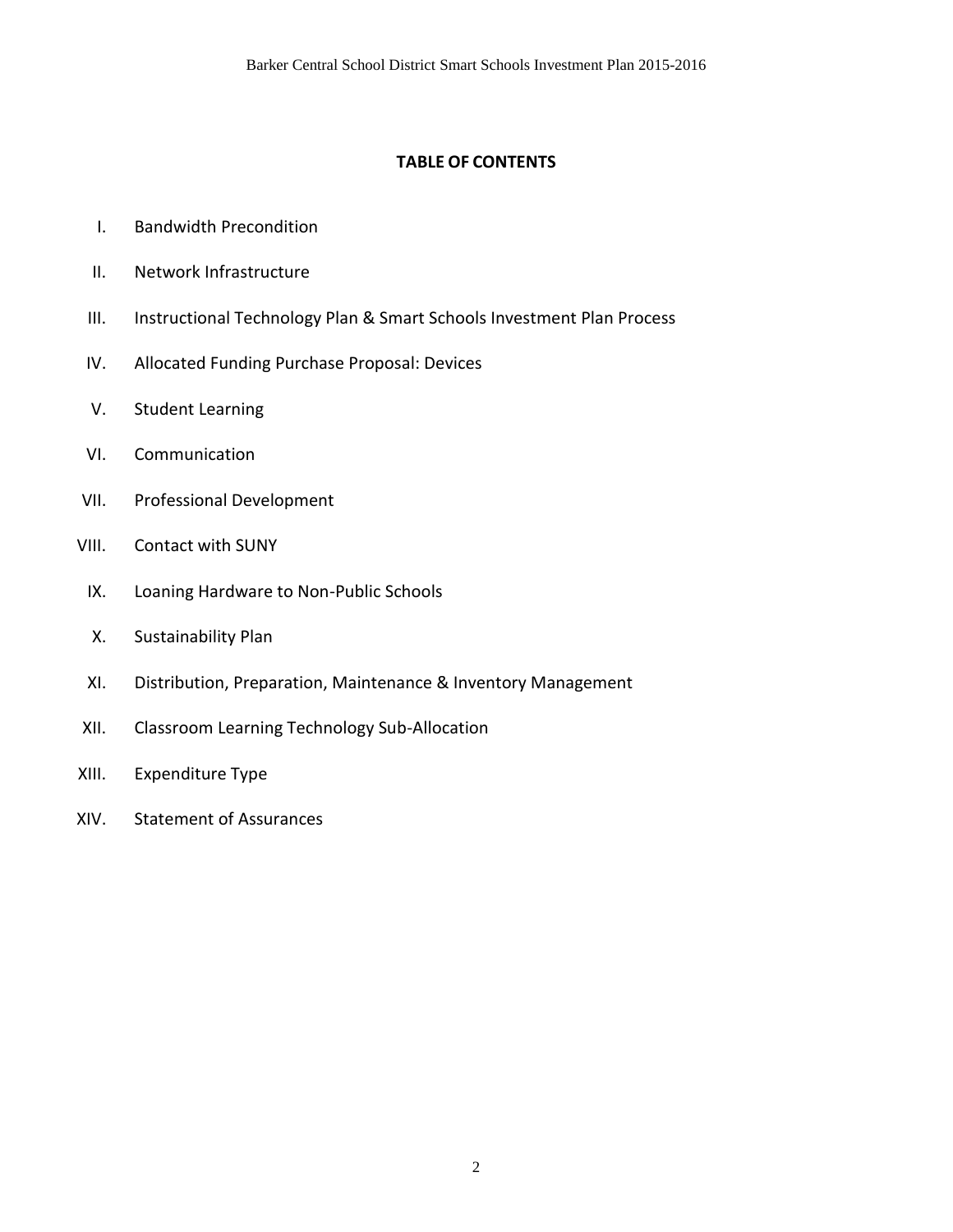# **TABLE OF CONTENTS**

- I. Bandwidth Precondition
- II. Network Infrastructure
- III. Instructional Technology Plan & Smart Schools Investment Plan Process
- IV. Allocated Funding Purchase Proposal: Devices
- V. Student Learning
- VI. Communication
- VII. Professional Development
- VIII. Contact with SUNY
	- IX. Loaning Hardware to Non-Public Schools
	- X. Sustainability Plan
	- XI. Distribution, Preparation, Maintenance & Inventory Management
- XII. Classroom Learning Technology Sub-Allocation
- XIII. Expenditure Type
- XIV. Statement of Assurances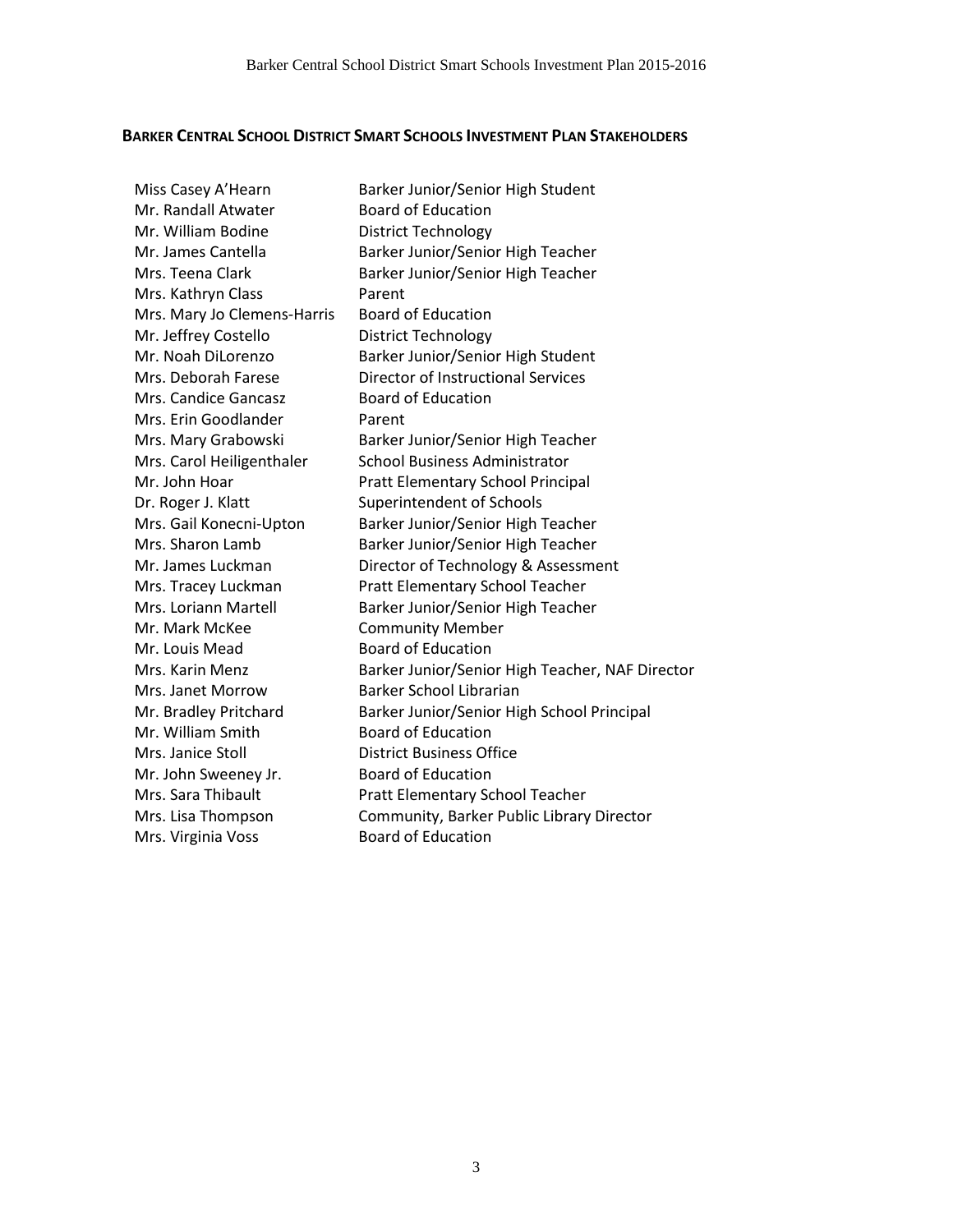### **BARKER CENTRAL SCHOOL DISTRICT SMART SCHOOLS INVESTMENT PLAN STAKEHOLDERS**

| Miss Casey A'Hearn          | Barker Junior/Senior High Student                        |
|-----------------------------|----------------------------------------------------------|
| Mr. Randall Atwater         | <b>Board of Education</b>                                |
| Mr. William Bodine          | <b>District Technology</b>                               |
| Mr. James Cantella          | Barker Junior/Senior High Teacher                        |
| Mrs. Teena Clark            | Barker Junior/Senior High Teacher                        |
| Mrs. Kathryn Class          | Parent                                                   |
| Mrs. Mary Jo Clemens-Harris | <b>Board of Education</b>                                |
| Mr. Jeffrey Costello        |                                                          |
| Mr. Noah DiLorenzo          | District Technology<br>Barker Junior/Senior High Student |
| Mrs. Deborah Farese         | Director of Instructional Services                       |
| Mrs. Candice Gancasz        | <b>Board of Education</b>                                |
| Mrs. Erin Goodlander        | Parent                                                   |
|                             |                                                          |
| Mrs. Mary Grabowski         | Barker Junior/Senior High Teacher                        |
| Mrs. Carol Heiligenthaler   | <b>School Business Administrator</b>                     |
| Mr. John Hoar               | Pratt Elementary School Principal                        |
| Dr. Roger J. Klatt          | Superintendent of Schools                                |
| Mrs. Gail Konecni-Upton     | Barker Junior/Senior High Teacher                        |
| Mrs. Sharon Lamb            | Barker Junior/Senior High Teacher                        |
| Mr. James Luckman           | Director of Technology & Assessment                      |
| Mrs. Tracey Luckman         | Pratt Elementary School Teacher                          |
| Mrs. Loriann Martell        | Barker Junior/Senior High Teacher                        |
| Mr. Mark McKee              | <b>Community Member</b>                                  |
| Mr. Louis Mead              | <b>Board of Education</b>                                |
| Mrs. Karin Menz             | Barker Junior/Senior High Teacher, NAF Director          |
| Mrs. Janet Morrow           | Barker School Librarian                                  |
| Mr. Bradley Pritchard       | Barker Junior/Senior High School Principal               |
| Mr. William Smith           | <b>Board of Education</b>                                |
| Mrs. Janice Stoll           | <b>District Business Office</b>                          |
| Mr. John Sweeney Jr.        | <b>Board of Education</b>                                |
| Mrs. Sara Thibault          | Pratt Elementary School Teacher                          |
| Mrs. Lisa Thompson          | Community, Barker Public Library Director                |
| Mrs. Virginia Voss          | <b>Board of Education</b>                                |
|                             |                                                          |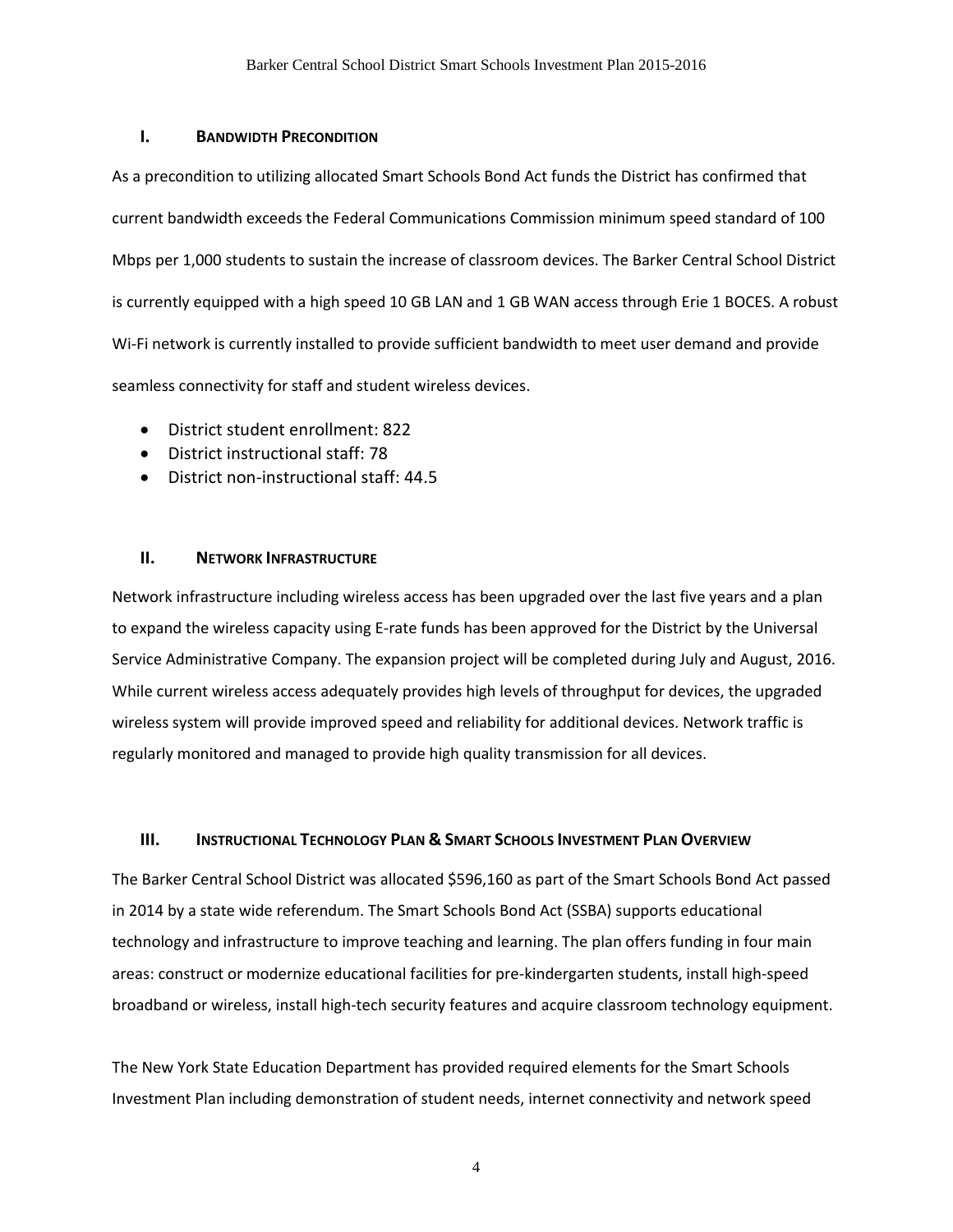#### **I. BANDWIDTH PRECONDITION**

As a precondition to utilizing allocated Smart Schools Bond Act funds the District has confirmed that current bandwidth exceeds the Federal Communications Commission minimum speed standard of 100 Mbps per 1,000 students to sustain the increase of classroom devices. The Barker Central School District is currently equipped with a high speed 10 GB LAN and 1 GB WAN access through Erie 1 BOCES. A robust Wi-Fi network is currently installed to provide sufficient bandwidth to meet user demand and provide seamless connectivity for staff and student wireless devices.

- District student enrollment: 822
- District instructional staff: 78
- District non-instructional staff: 44.5

#### **II. NETWORK INFRASTRUCTURE**

Network infrastructure including wireless access has been upgraded over the last five years and a plan to expand the wireless capacity using E-rate funds has been approved for the District by the Universal Service Administrative Company. The expansion project will be completed during July and August, 2016. While current wireless access adequately provides high levels of throughput for devices, the upgraded wireless system will provide improved speed and reliability for additional devices. Network traffic is regularly monitored and managed to provide high quality transmission for all devices.

#### **III. INSTRUCTIONAL TECHNOLOGY PLAN & SMART SCHOOLS INVESTMENT PLAN OVERVIEW**

The Barker Central School District was allocated \$596,160 as part of the Smart Schools Bond Act passed in 2014 by a state wide referendum. The Smart Schools Bond Act (SSBA) supports educational technology and infrastructure to improve teaching and learning. The plan offers funding in four main areas: construct or modernize educational facilities for pre-kindergarten students, install high-speed broadband or wireless, install high-tech security features and acquire classroom technology equipment.

The New York State Education Department has provided required elements for the Smart Schools Investment Plan including demonstration of student needs, internet connectivity and network speed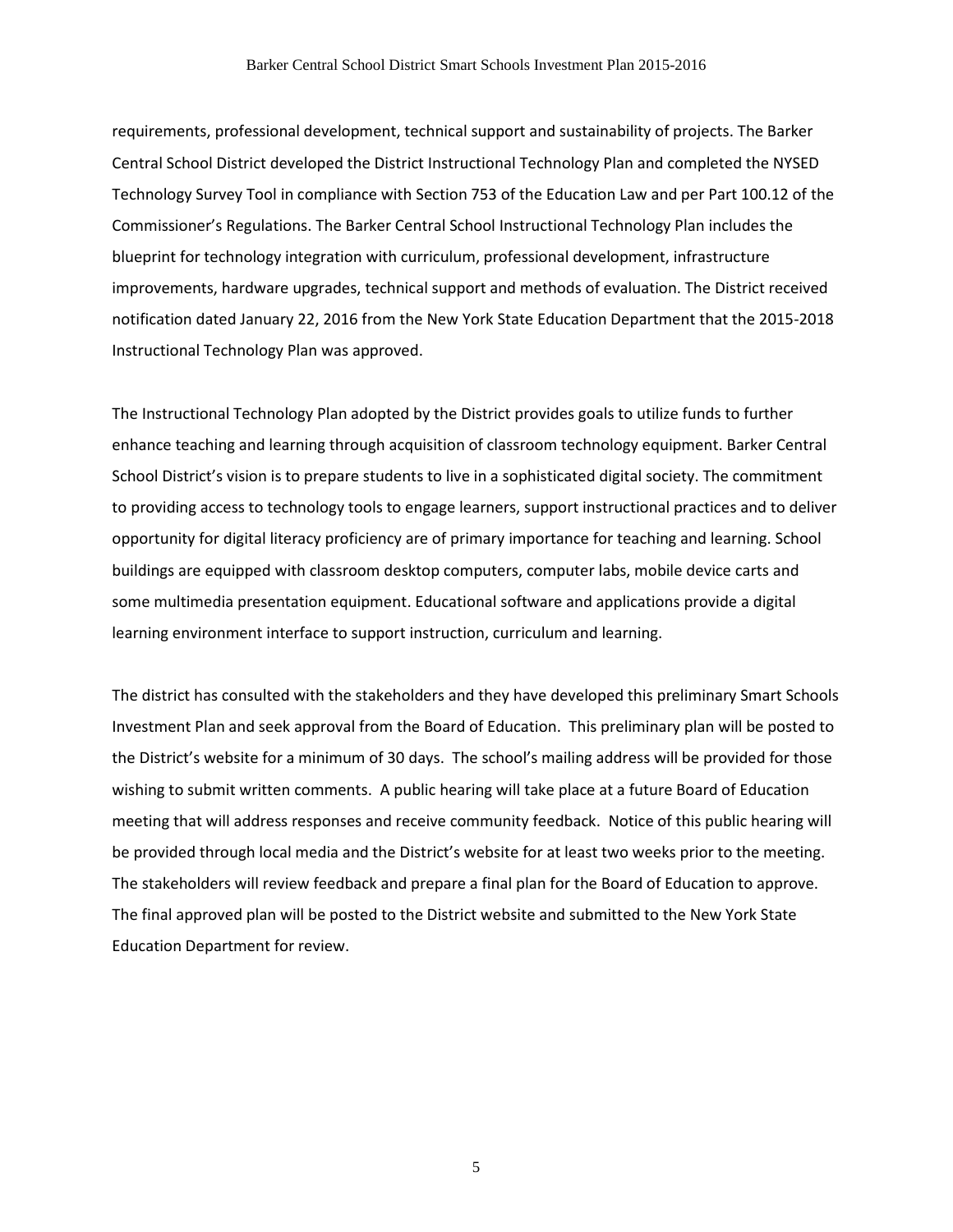requirements, professional development, technical support and sustainability of projects. The Barker Central School District developed the District Instructional Technology Plan and completed the NYSED Technology Survey Tool in compliance with Section 753 of the Education Law and per Part 100.12 of the Commissioner's Regulations. The Barker Central School Instructional Technology Plan includes the blueprint for technology integration with curriculum, professional development, infrastructure improvements, hardware upgrades, technical support and methods of evaluation. The District received notification dated January 22, 2016 from the New York State Education Department that the 2015-2018 Instructional Technology Plan was approved.

The Instructional Technology Plan adopted by the District provides goals to utilize funds to further enhance teaching and learning through acquisition of classroom technology equipment. Barker Central School District's vision is to prepare students to live in a sophisticated digital society. The commitment to providing access to technology tools to engage learners, support instructional practices and to deliver opportunity for digital literacy proficiency are of primary importance for teaching and learning. School buildings are equipped with classroom desktop computers, computer labs, mobile device carts and some multimedia presentation equipment. Educational software and applications provide a digital learning environment interface to support instruction, curriculum and learning.

The district has consulted with the stakeholders and they have developed this preliminary Smart Schools Investment Plan and seek approval from the Board of Education. This preliminary plan will be posted to the District's website for a minimum of 30 days. The school's mailing address will be provided for those wishing to submit written comments. A public hearing will take place at a future Board of Education meeting that will address responses and receive community feedback. Notice of this public hearing will be provided through local media and the District's website for at least two weeks prior to the meeting. The stakeholders will review feedback and prepare a final plan for the Board of Education to approve. The final approved plan will be posted to the District website and submitted to the New York State Education Department for review.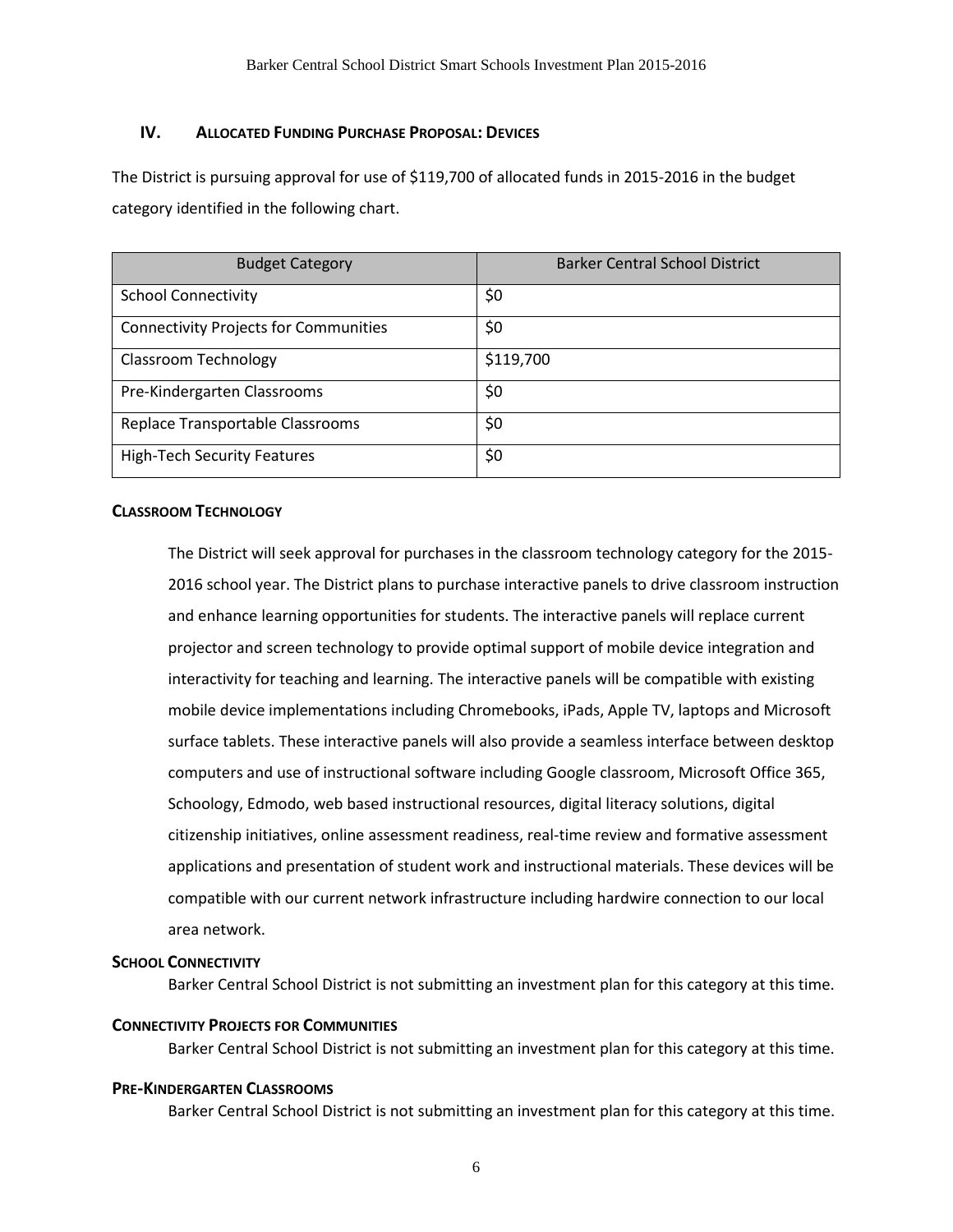## **IV. ALLOCATED FUNDING PURCHASE PROPOSAL: DEVICES**

The District is pursuing approval for use of \$119,700 of allocated funds in 2015-2016 in the budget category identified in the following chart.

| <b>Budget Category</b>                       | <b>Barker Central School District</b> |
|----------------------------------------------|---------------------------------------|
| <b>School Connectivity</b>                   | \$0                                   |
| <b>Connectivity Projects for Communities</b> | \$0                                   |
| Classroom Technology                         | \$119,700                             |
| Pre-Kindergarten Classrooms                  | \$0                                   |
| Replace Transportable Classrooms             | \$0                                   |
| <b>High-Tech Security Features</b>           | \$0                                   |

#### **CLASSROOM TECHNOLOGY**

The District will seek approval for purchases in the classroom technology category for the 2015- 2016 school year. The District plans to purchase interactive panels to drive classroom instruction and enhance learning opportunities for students. The interactive panels will replace current projector and screen technology to provide optimal support of mobile device integration and interactivity for teaching and learning. The interactive panels will be compatible with existing mobile device implementations including Chromebooks, iPads, Apple TV, laptops and Microsoft surface tablets. These interactive panels will also provide a seamless interface between desktop computers and use of instructional software including Google classroom, Microsoft Office 365, Schoology, Edmodo, web based instructional resources, digital literacy solutions, digital citizenship initiatives, online assessment readiness, real-time review and formative assessment applications and presentation of student work and instructional materials. These devices will be compatible with our current network infrastructure including hardwire connection to our local area network.

### **SCHOOL CONNECTIVITY**

Barker Central School District is not submitting an investment plan for this category at this time.

#### **CONNECTIVITY PROJECTS FOR COMMUNITIES**

Barker Central School District is not submitting an investment plan for this category at this time.

#### **PRE-KINDERGARTEN CLASSROOMS**

Barker Central School District is not submitting an investment plan for this category at this time.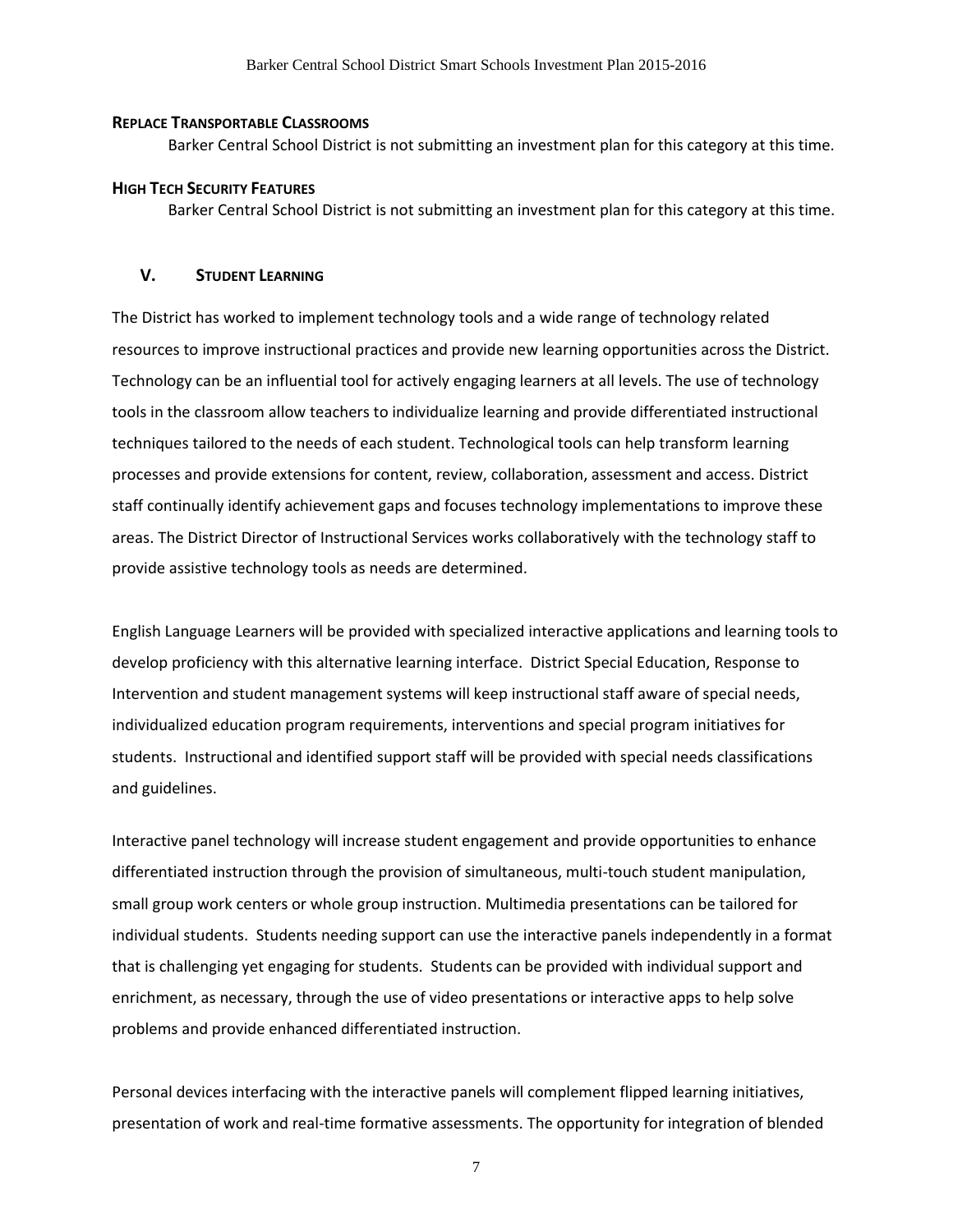#### **REPLACE TRANSPORTABLE CLASSROOMS**

Barker Central School District is not submitting an investment plan for this category at this time.

#### **HIGH TECH SECURITY FEATURES**

Barker Central School District is not submitting an investment plan for this category at this time.

#### **V. STUDENT LEARNING**

The District has worked to implement technology tools and a wide range of technology related resources to improve instructional practices and provide new learning opportunities across the District. Technology can be an influential tool for actively engaging learners at all levels. The use of technology tools in the classroom allow teachers to individualize learning and provide differentiated instructional techniques tailored to the needs of each student. Technological tools can help transform learning processes and provide extensions for content, review, collaboration, assessment and access. District staff continually identify achievement gaps and focuses technology implementations to improve these areas. The District Director of Instructional Services works collaboratively with the technology staff to provide assistive technology tools as needs are determined.

English Language Learners will be provided with specialized interactive applications and learning tools to develop proficiency with this alternative learning interface. District Special Education, Response to Intervention and student management systems will keep instructional staff aware of special needs, individualized education program requirements, interventions and special program initiatives for students. Instructional and identified support staff will be provided with special needs classifications and guidelines.

Interactive panel technology will increase student engagement and provide opportunities to enhance differentiated instruction through the provision of simultaneous, multi-touch student manipulation, small group work centers or whole group instruction. Multimedia presentations can be tailored for individual students. Students needing support can use the interactive panels independently in a format that is challenging yet engaging for students. Students can be provided with individual support and enrichment, as necessary, through the use of video presentations or interactive apps to help solve problems and provide enhanced differentiated instruction.

Personal devices interfacing with the interactive panels will complement flipped learning initiatives, presentation of work and real-time formative assessments. The opportunity for integration of blended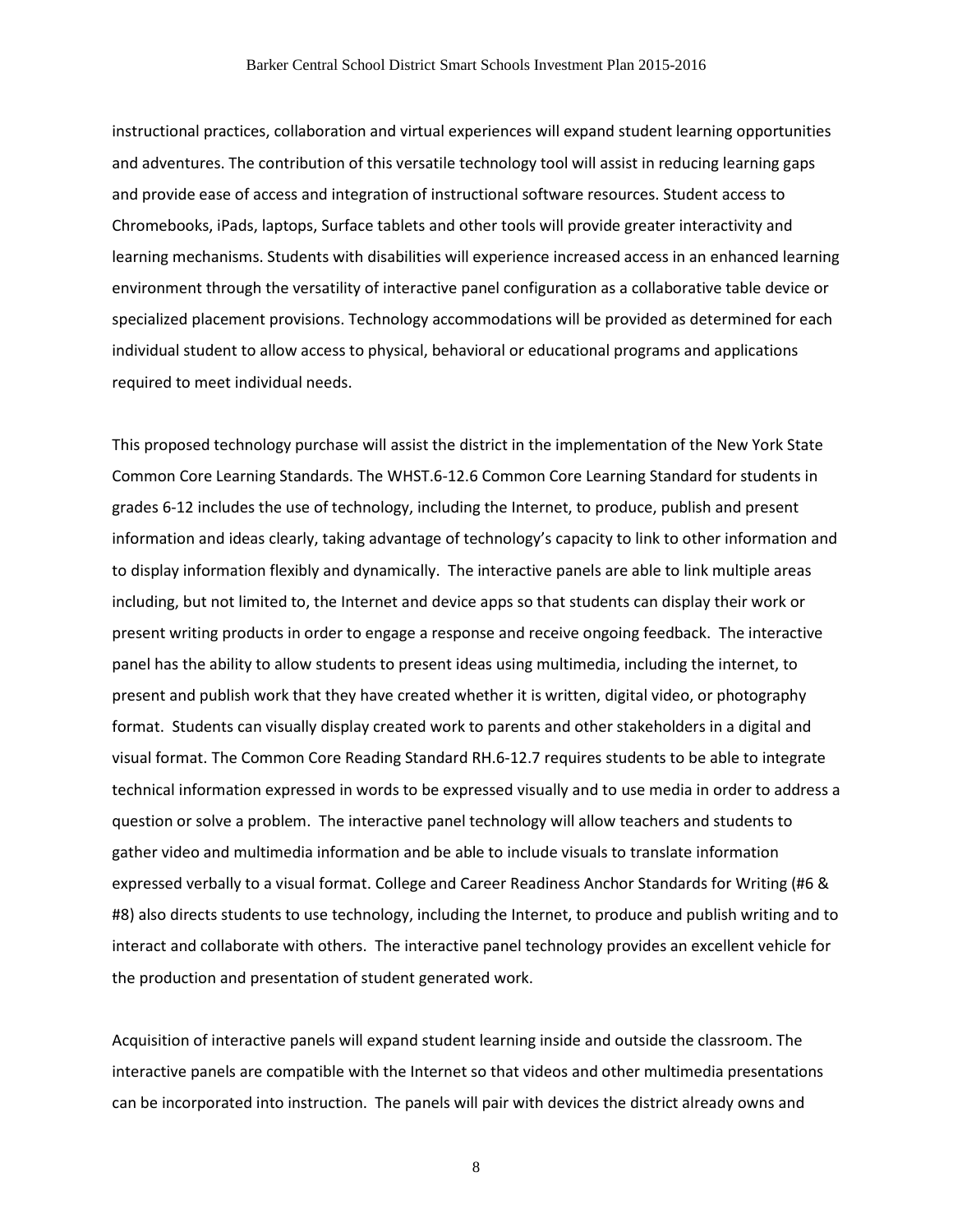instructional practices, collaboration and virtual experiences will expand student learning opportunities and adventures. The contribution of this versatile technology tool will assist in reducing learning gaps and provide ease of access and integration of instructional software resources. Student access to Chromebooks, iPads, laptops, Surface tablets and other tools will provide greater interactivity and learning mechanisms. Students with disabilities will experience increased access in an enhanced learning environment through the versatility of interactive panel configuration as a collaborative table device or specialized placement provisions. Technology accommodations will be provided as determined for each individual student to allow access to physical, behavioral or educational programs and applications required to meet individual needs.

This proposed technology purchase will assist the district in the implementation of the New York State Common Core Learning Standards. The WHST.6-12.6 Common Core Learning Standard for students in grades 6-12 includes the use of technology, including the Internet, to produce, publish and present information and ideas clearly, taking advantage of technology's capacity to link to other information and to display information flexibly and dynamically. The interactive panels are able to link multiple areas including, but not limited to, the Internet and device apps so that students can display their work or present writing products in order to engage a response and receive ongoing feedback. The interactive panel has the ability to allow students to present ideas using multimedia, including the internet, to present and publish work that they have created whether it is written, digital video, or photography format. Students can visually display created work to parents and other stakeholders in a digital and visual format. The Common Core Reading Standard RH.6-12.7 requires students to be able to integrate technical information expressed in words to be expressed visually and to use media in order to address a question or solve a problem. The interactive panel technology will allow teachers and students to gather video and multimedia information and be able to include visuals to translate information expressed verbally to a visual format. College and Career Readiness Anchor Standards for Writing (#6 & #8) also directs students to use technology, including the Internet, to produce and publish writing and to interact and collaborate with others. The interactive panel technology provides an excellent vehicle for the production and presentation of student generated work.

Acquisition of interactive panels will expand student learning inside and outside the classroom. The interactive panels are compatible with the Internet so that videos and other multimedia presentations can be incorporated into instruction. The panels will pair with devices the district already owns and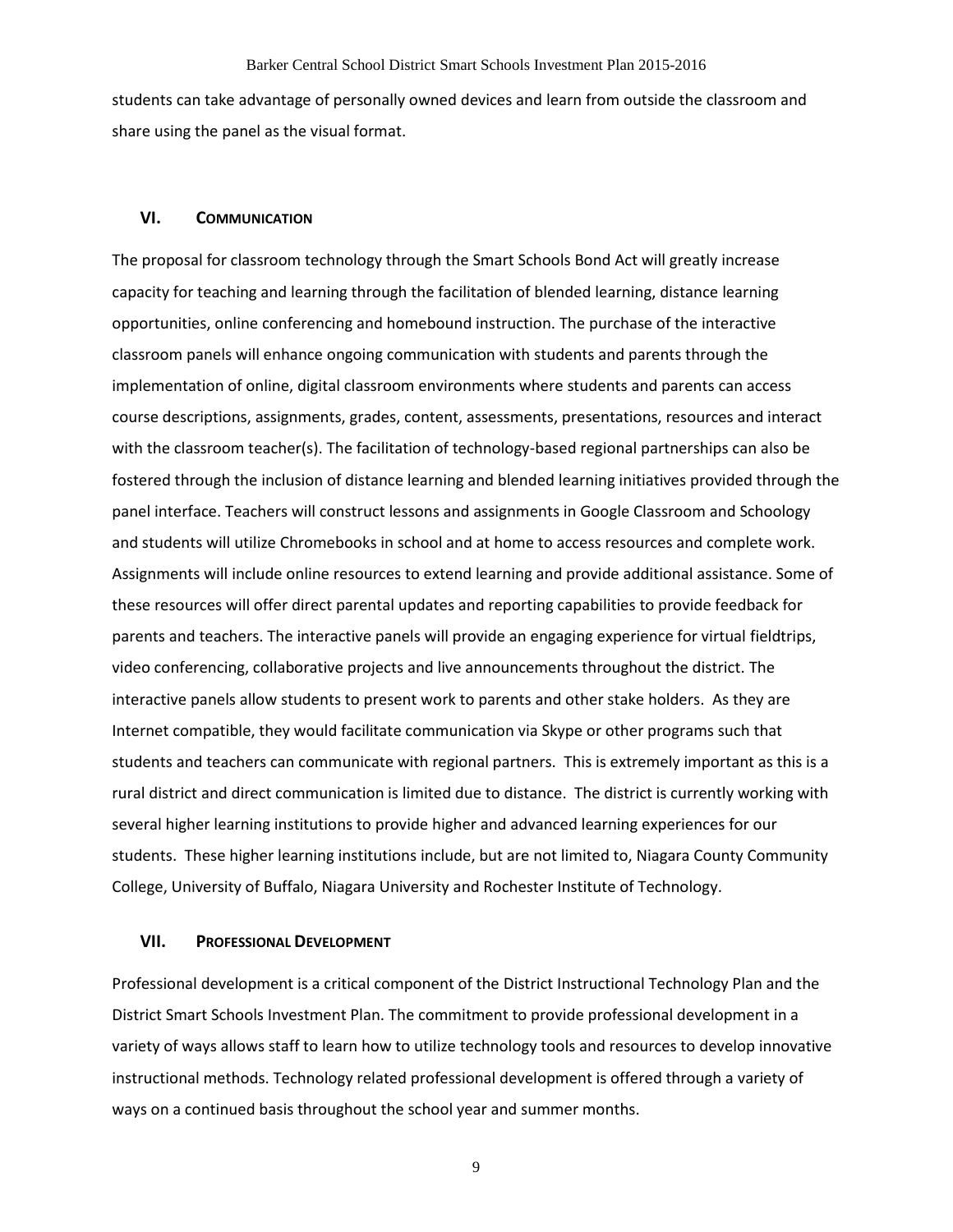students can take advantage of personally owned devices and learn from outside the classroom and share using the panel as the visual format.

#### **VI. COMMUNICATION**

The proposal for classroom technology through the Smart Schools Bond Act will greatly increase capacity for teaching and learning through the facilitation of blended learning, distance learning opportunities, online conferencing and homebound instruction. The purchase of the interactive classroom panels will enhance ongoing communication with students and parents through the implementation of online, digital classroom environments where students and parents can access course descriptions, assignments, grades, content, assessments, presentations, resources and interact with the classroom teacher(s). The facilitation of technology-based regional partnerships can also be fostered through the inclusion of distance learning and blended learning initiatives provided through the panel interface. Teachers will construct lessons and assignments in Google Classroom and Schoology and students will utilize Chromebooks in school and at home to access resources and complete work. Assignments will include online resources to extend learning and provide additional assistance. Some of these resources will offer direct parental updates and reporting capabilities to provide feedback for parents and teachers. The interactive panels will provide an engaging experience for virtual fieldtrips, video conferencing, collaborative projects and live announcements throughout the district. The interactive panels allow students to present work to parents and other stake holders. As they are Internet compatible, they would facilitate communication via Skype or other programs such that students and teachers can communicate with regional partners. This is extremely important as this is a rural district and direct communication is limited due to distance. The district is currently working with several higher learning institutions to provide higher and advanced learning experiences for our students. These higher learning institutions include, but are not limited to, Niagara County Community College, University of Buffalo, Niagara University and Rochester Institute of Technology.

#### **VII. PROFESSIONAL DEVELOPMENT**

Professional development is a critical component of the District Instructional Technology Plan and the District Smart Schools Investment Plan. The commitment to provide professional development in a variety of ways allows staff to learn how to utilize technology tools and resources to develop innovative instructional methods. Technology related professional development is offered through a variety of ways on a continued basis throughout the school year and summer months.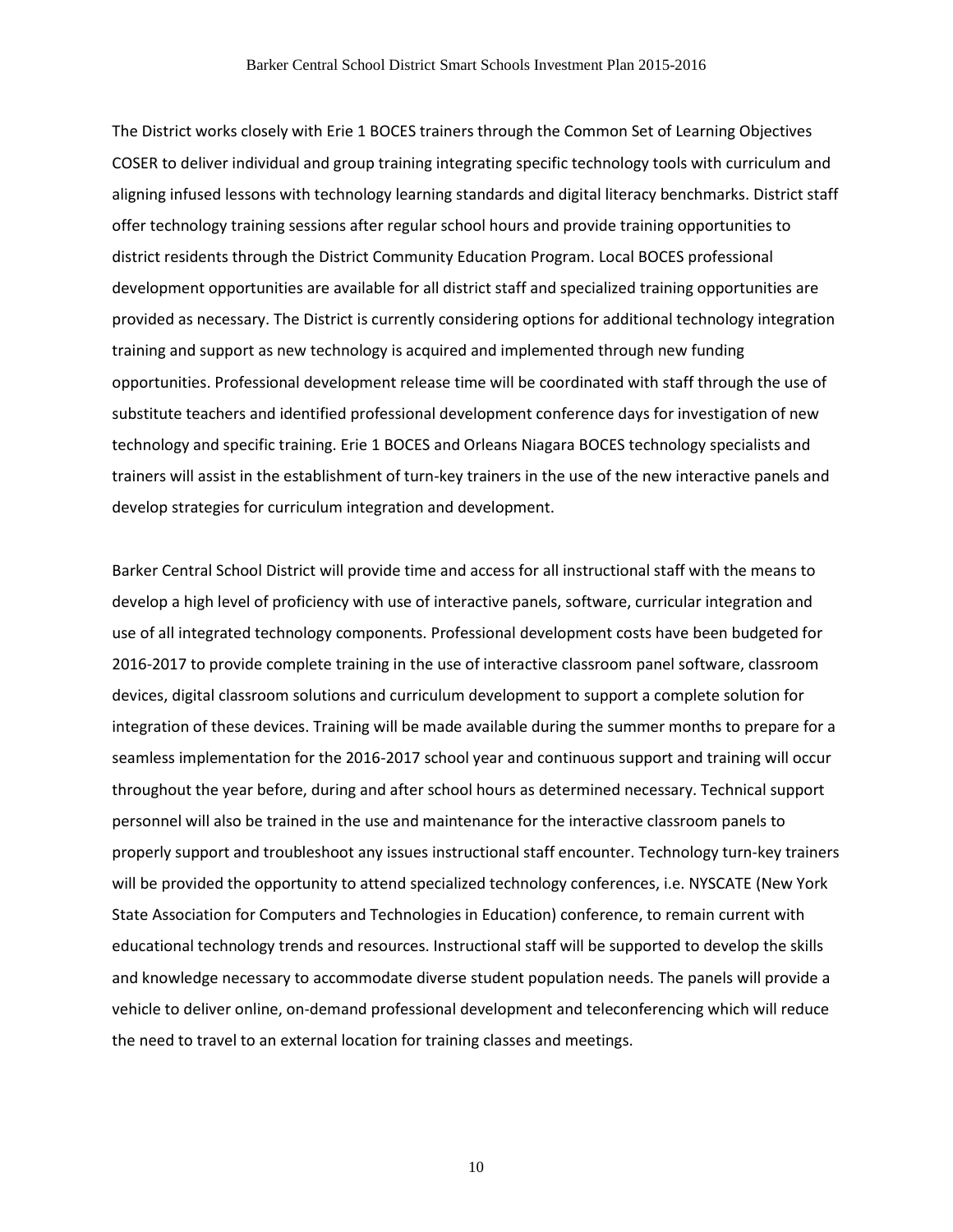The District works closely with Erie 1 BOCES trainers through the Common Set of Learning Objectives COSER to deliver individual and group training integrating specific technology tools with curriculum and aligning infused lessons with technology learning standards and digital literacy benchmarks. District staff offer technology training sessions after regular school hours and provide training opportunities to district residents through the District Community Education Program. Local BOCES professional development opportunities are available for all district staff and specialized training opportunities are provided as necessary. The District is currently considering options for additional technology integration training and support as new technology is acquired and implemented through new funding opportunities. Professional development release time will be coordinated with staff through the use of substitute teachers and identified professional development conference days for investigation of new technology and specific training. Erie 1 BOCES and Orleans Niagara BOCES technology specialists and trainers will assist in the establishment of turn-key trainers in the use of the new interactive panels and develop strategies for curriculum integration and development.

Barker Central School District will provide time and access for all instructional staff with the means to develop a high level of proficiency with use of interactive panels, software, curricular integration and use of all integrated technology components. Professional development costs have been budgeted for 2016-2017 to provide complete training in the use of interactive classroom panel software, classroom devices, digital classroom solutions and curriculum development to support a complete solution for integration of these devices. Training will be made available during the summer months to prepare for a seamless implementation for the 2016-2017 school year and continuous support and training will occur throughout the year before, during and after school hours as determined necessary. Technical support personnel will also be trained in the use and maintenance for the interactive classroom panels to properly support and troubleshoot any issues instructional staff encounter. Technology turn-key trainers will be provided the opportunity to attend specialized technology conferences, i.e. NYSCATE (New York State Association for Computers and Technologies in Education) conference, to remain current with educational technology trends and resources. Instructional staff will be supported to develop the skills and knowledge necessary to accommodate diverse student population needs. The panels will provide a vehicle to deliver online, on-demand professional development and teleconferencing which will reduce the need to travel to an external location for training classes and meetings.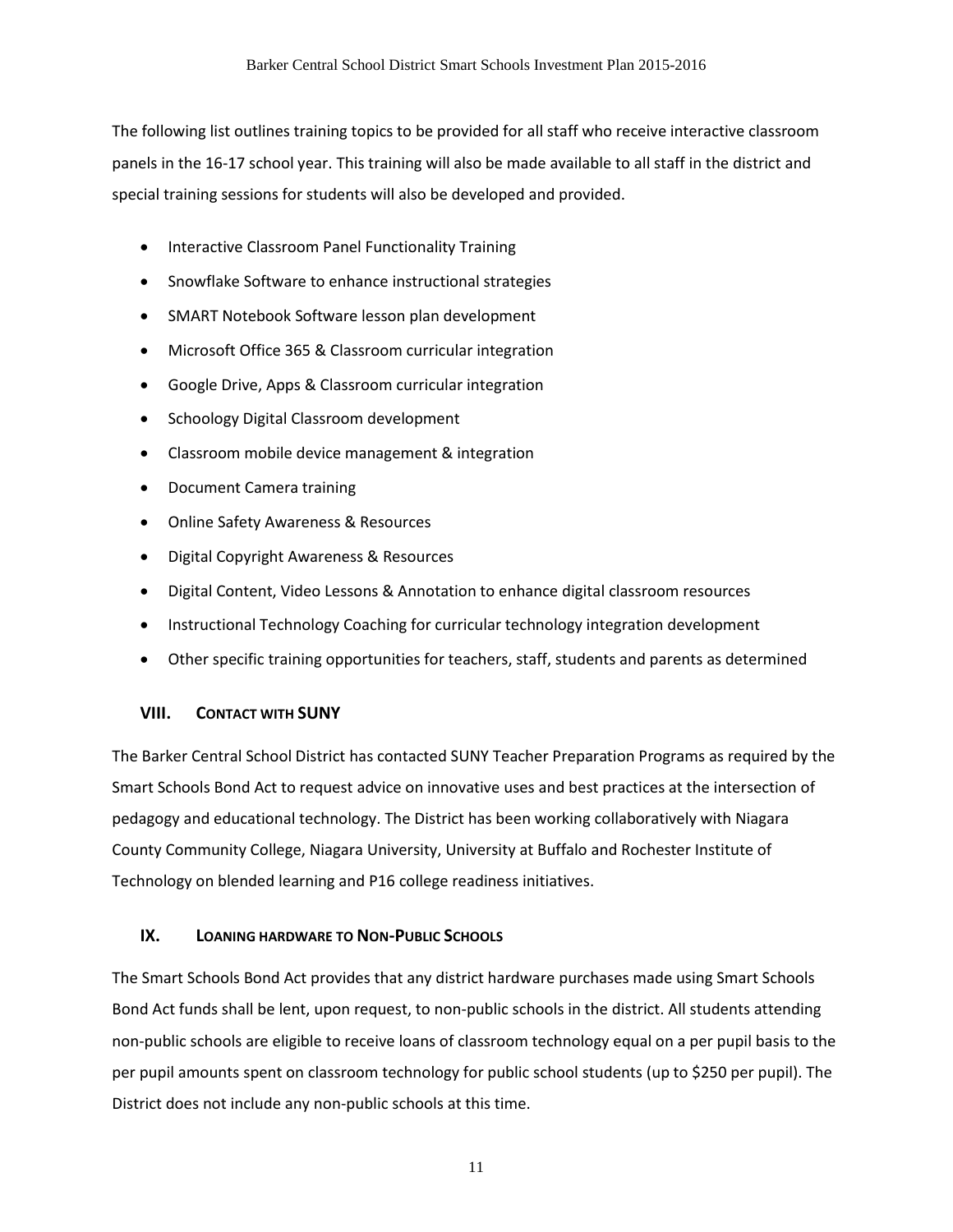The following list outlines training topics to be provided for all staff who receive interactive classroom panels in the 16-17 school year. This training will also be made available to all staff in the district and special training sessions for students will also be developed and provided.

- Interactive Classroom Panel Functionality Training
- Snowflake Software to enhance instructional strategies
- SMART Notebook Software lesson plan development
- Microsoft Office 365 & Classroom curricular integration
- Google Drive, Apps & Classroom curricular integration
- Schoology Digital Classroom development
- Classroom mobile device management & integration
- Document Camera training
- Online Safety Awareness & Resources
- Digital Copyright Awareness & Resources
- Digital Content, Video Lessons & Annotation to enhance digital classroom resources
- Instructional Technology Coaching for curricular technology integration development
- Other specific training opportunities for teachers, staff, students and parents as determined

#### **VIII. CONTACT WITH SUNY**

The Barker Central School District has contacted SUNY Teacher Preparation Programs as required by the Smart Schools Bond Act to request advice on innovative uses and best practices at the intersection of pedagogy and educational technology. The District has been working collaboratively with Niagara County Community College, Niagara University, University at Buffalo and Rochester Institute of Technology on blended learning and P16 college readiness initiatives.

#### **IX. LOANING HARDWARE TO NON-PUBLIC SCHOOLS**

The Smart Schools Bond Act provides that any district hardware purchases made using Smart Schools Bond Act funds shall be lent, upon request, to non-public schools in the district. All students attending non-public schools are eligible to receive loans of classroom technology equal on a per pupil basis to the per pupil amounts spent on classroom technology for public school students (up to \$250 per pupil). The District does not include any non-public schools at this time.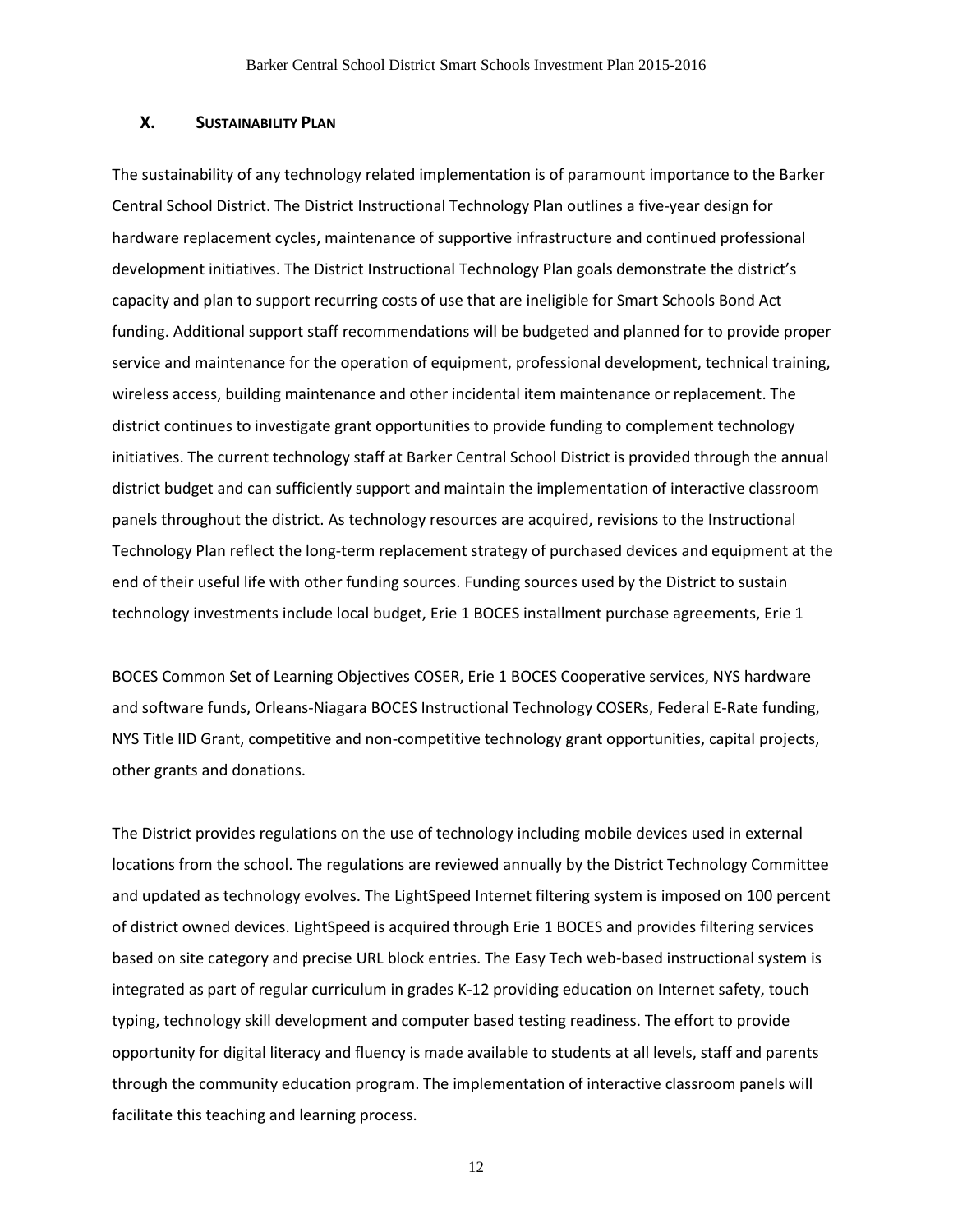#### **X. SUSTAINABILITY PLAN**

The sustainability of any technology related implementation is of paramount importance to the Barker Central School District. The District Instructional Technology Plan outlines a five-year design for hardware replacement cycles, maintenance of supportive infrastructure and continued professional development initiatives. The District Instructional Technology Plan goals demonstrate the district's capacity and plan to support recurring costs of use that are ineligible for Smart Schools Bond Act funding. Additional support staff recommendations will be budgeted and planned for to provide proper service and maintenance for the operation of equipment, professional development, technical training, wireless access, building maintenance and other incidental item maintenance or replacement. The district continues to investigate grant opportunities to provide funding to complement technology initiatives. The current technology staff at Barker Central School District is provided through the annual district budget and can sufficiently support and maintain the implementation of interactive classroom panels throughout the district. As technology resources are acquired, revisions to the Instructional Technology Plan reflect the long-term replacement strategy of purchased devices and equipment at the end of their useful life with other funding sources. Funding sources used by the District to sustain technology investments include local budget, Erie 1 BOCES installment purchase agreements, Erie 1

BOCES Common Set of Learning Objectives COSER, Erie 1 BOCES Cooperative services, NYS hardware and software funds, Orleans-Niagara BOCES Instructional Technology COSERs, Federal E-Rate funding, NYS Title IID Grant, competitive and non-competitive technology grant opportunities, capital projects, other grants and donations.

The District provides regulations on the use of technology including mobile devices used in external locations from the school. The regulations are reviewed annually by the District Technology Committee and updated as technology evolves. The LightSpeed Internet filtering system is imposed on 100 percent of district owned devices. LightSpeed is acquired through Erie 1 BOCES and provides filtering services based on site category and precise URL block entries. The Easy Tech web-based instructional system is integrated as part of regular curriculum in grades K-12 providing education on Internet safety, touch typing, technology skill development and computer based testing readiness. The effort to provide opportunity for digital literacy and fluency is made available to students at all levels, staff and parents through the community education program. The implementation of interactive classroom panels will facilitate this teaching and learning process.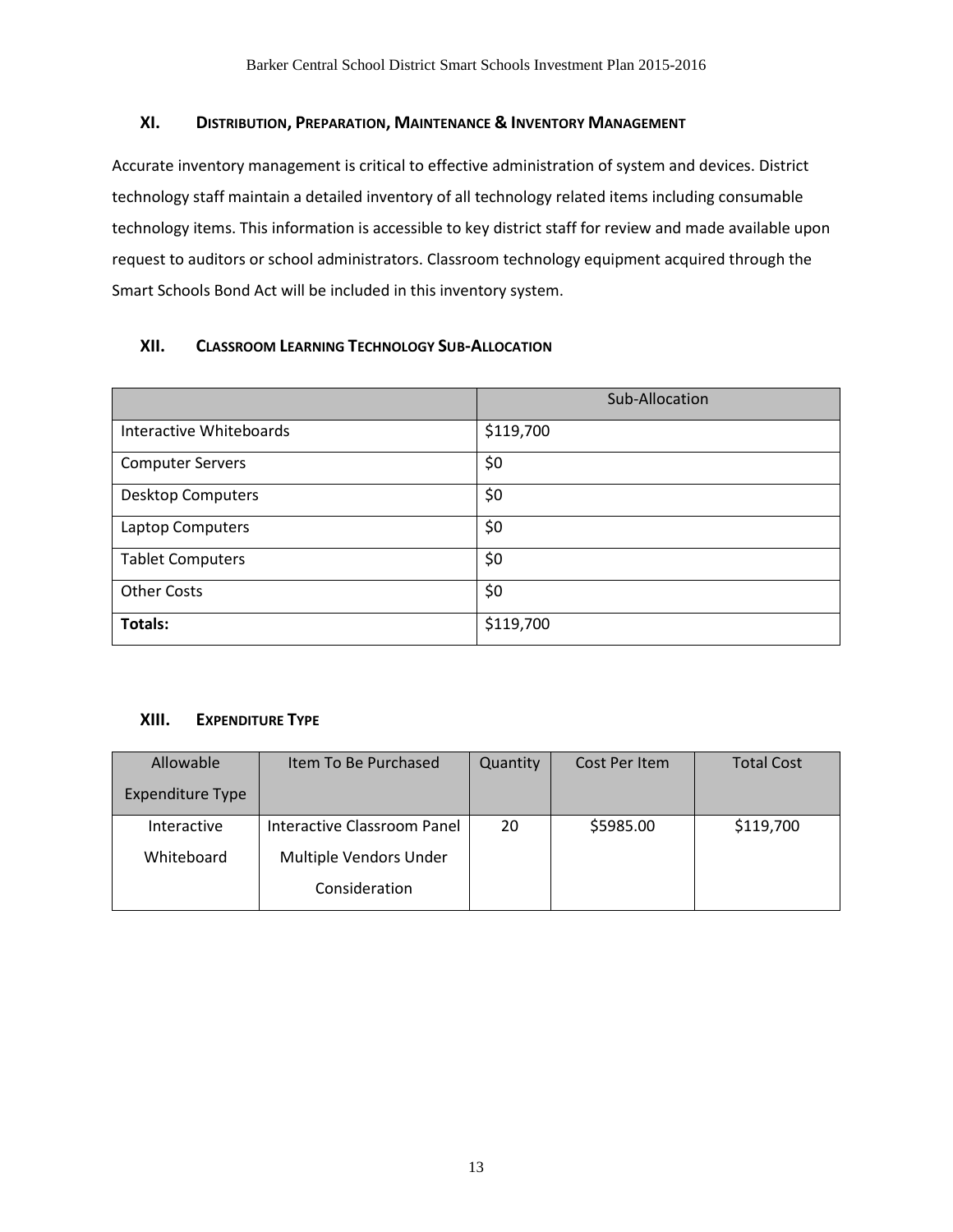### **XI. DISTRIBUTION, PREPARATION, MAINTENANCE & INVENTORY MANAGEMENT**

Accurate inventory management is critical to effective administration of system and devices. District technology staff maintain a detailed inventory of all technology related items including consumable technology items. This information is accessible to key district staff for review and made available upon request to auditors or school administrators. Classroom technology equipment acquired through the Smart Schools Bond Act will be included in this inventory system.

# **XII. CLASSROOM LEARNING TECHNOLOGY SUB-ALLOCATION**

|                          | Sub-Allocation |  |  |
|--------------------------|----------------|--|--|
| Interactive Whiteboards  | \$119,700      |  |  |
| <b>Computer Servers</b>  | \$0            |  |  |
| <b>Desktop Computers</b> | \$0            |  |  |
| Laptop Computers         | \$0            |  |  |
| <b>Tablet Computers</b>  | \$0            |  |  |
| <b>Other Costs</b>       | \$0            |  |  |
| Totals:                  | \$119,700      |  |  |

#### **XIII. EXPENDITURE TYPE**

| Allowable               | Item To Be Purchased        | Quantity | Cost Per Item | <b>Total Cost</b> |
|-------------------------|-----------------------------|----------|---------------|-------------------|
| <b>Expenditure Type</b> |                             |          |               |                   |
| Interactive             | Interactive Classroom Panel | 20       | \$5985.00     | \$119,700         |
| Whiteboard              | Multiple Vendors Under      |          |               |                   |
|                         | Consideration               |          |               |                   |